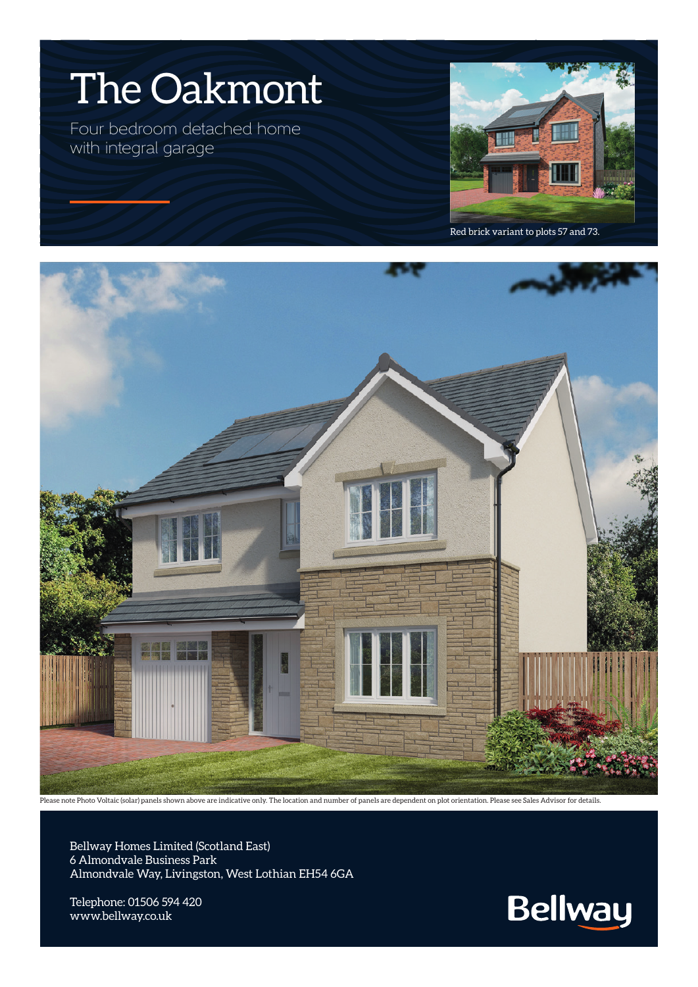

Four bedroom detached home with integral garage



Red brick variant to plots 57 and 73.



Please note Photo Voltaic (solar) panels shown above are indicative only. The location and number of panels are dependent on plot orientation. Please see Sales Advisor for details.

Bellway Homes Limited (Scotland East) 6 Almondvale Business Park Almondvale Way, Livingston, West Lothian EH54 6GA

Telephone: 01506 594 420 www.bellway.co.uk